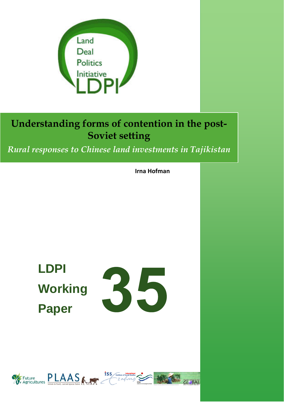

*Rural responses to Chinese land investments in Tajikistan*

**Irna Hofman**

**LDPI Working Paper** 



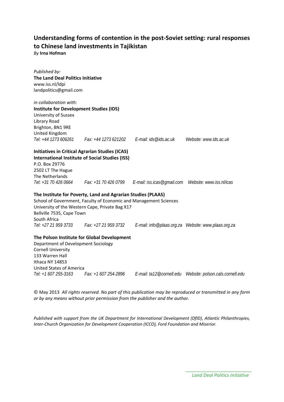### **Understanding forms of contention in the post-Soviet setting: rural responses to Chinese land investments in Tajikistan**

*By* **Irna Hofman**

| Published by:                                  |                                                                   |                                                                                               |                        |
|------------------------------------------------|-------------------------------------------------------------------|-----------------------------------------------------------------------------------------------|------------------------|
| The Land Deal Politics Initiative              |                                                                   |                                                                                               |                        |
| www.iss.nl/ldpi                                |                                                                   |                                                                                               |                        |
| landpolitics@gmail.com                         |                                                                   |                                                                                               |                        |
|                                                |                                                                   |                                                                                               |                        |
| in collaboration with:                         |                                                                   |                                                                                               |                        |
| <b>Institute for Development Studies (IDS)</b> |                                                                   |                                                                                               |                        |
| University of Sussex                           |                                                                   |                                                                                               |                        |
| Library Road                                   |                                                                   |                                                                                               |                        |
| Brighton, BN1 9RE                              |                                                                   |                                                                                               |                        |
| United Kingdom                                 |                                                                   |                                                                                               |                        |
|                                                | Tel: +44 1273 606261 Fax: +44 1273 621202 E-mail: ids@ids.ac.uk   |                                                                                               | Website: www.ids.ac.uk |
|                                                | <b>Initiatives in Critical Agrarian Studies (ICAS)</b>            |                                                                                               |                        |
|                                                | <b>International Institute of Social Studies (ISS)</b>            |                                                                                               |                        |
| P.O. Box 29776                                 |                                                                   |                                                                                               |                        |
| 2502 LT The Hague                              |                                                                   |                                                                                               |                        |
| The Netherlands                                |                                                                   |                                                                                               |                        |
|                                                |                                                                   | Tel: +31 70 426 0664 Fax: +31 70 426 0799 E-mail: iss.icas@qmail.com Website: www.iss.nl/icas |                        |
|                                                | The Institute for Poverty, Land and Agrarian Studies (PLAAS)      |                                                                                               |                        |
|                                                | School of Government, Faculty of Economic and Management Sciences |                                                                                               |                        |
|                                                | University of the Western Cape, Private Bag X17                   |                                                                                               |                        |
| Bellville 7535, Cape Town                      |                                                                   |                                                                                               |                        |
| South Africa                                   |                                                                   |                                                                                               |                        |
|                                                | Tel: +27 21 959 3733 Fax: +27 21 959 3732                         |                                                                                               |                        |
|                                                |                                                                   |                                                                                               |                        |
|                                                | The Polson Institute for Global Development                       |                                                                                               |                        |
| Department of Development Sociology            |                                                                   |                                                                                               |                        |
| <b>Cornell University</b>                      |                                                                   |                                                                                               |                        |
| 133 Warren Hall                                |                                                                   |                                                                                               |                        |
| Ithaca NY 14853                                |                                                                   |                                                                                               |                        |
| <b>United States of America</b>                |                                                                   |                                                                                               |                        |
| Tel: +1 607 255-3163                           | Fax: +1 607 254-2896                                              |                                                                                               |                        |

© May 2013 *All rights reserved. No part of this publication may be reproduced or transmitted in any form or by any means without prior permission from the publisher and the author.*

*Published with support from the UK Department for International Development (DfID), Atlantic Philanthropies, Inter-Church Organization for Development Cooperation (ICCO), Ford Foundation and Miserior.*

> *Land Deal Politics Initiative*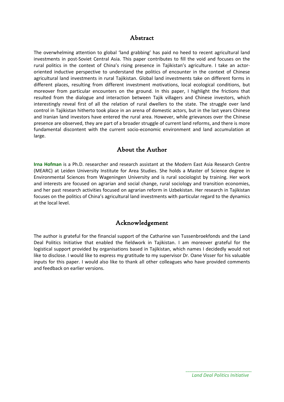#### Abstract

The overwhelming attention to global 'land grabbing' has paid no heed to recent agricultural land investments in post-Soviet Central Asia. This paper contributes to fill the void and focuses on the rural politics in the context of China's rising presence in Tajikistan's agriculture. I take an actororiented inductive perspective to understand the politics of encounter in the context of Chinese agricultural land investments in rural Tajikistan. Global land investments take on different forms in different places, resulting from different investment motivations, local ecological conditions, but moreover from particular encounters on the ground. In this paper, I highlight the frictions that resulted from the dialogue and interaction between Tajik villagers and Chinese investors, which interestingly reveal first of all the relation of rural dwellers to the state. The struggle over land control in Tajikistan hitherto took place in an arena of domestic actors, but in the last years Chinese and Iranian land investors have entered the rural area. However, while grievances over the Chinese presence are observed, they are part of a broader struggle of current land reforms, and there is more fundamental discontent with the current socio-economic environment and land accumulation at large.

#### About the Author

**Irna Hofman** is a Ph.D. researcher and research assistant at the Modern East Asia Research Centre (MEARC) at Leiden University Institute for Area Studies. She holds a Master of Science degree in Environmental Sciences from Wageningen University and is rural sociologist by training. Her work and interests are focused on agrarian and social change, rural sociology and transition economies, and her past research activities focused on agrarian reform in Uzbekistan. Her research in Tajikistan focuses on the politics of China's agricultural land investments with particular regard to the dynamics at the local level.

#### Acknowledgement

The author is grateful for the financial support of the Catharine van Tussenbroekfonds and the Land Deal Politics Initiative that enabled the fieldwork in Tajikistan. I am moreover grateful for the logistical support provided by organisations based in Tajikistan, which names I decidedly would not like to disclose. I would like to express my gratitude to my supervisor Dr. Oane Visser for his valuable inputs for this paper. I would also like to thank all other colleagues who have provided comments and feedback on earlier versions.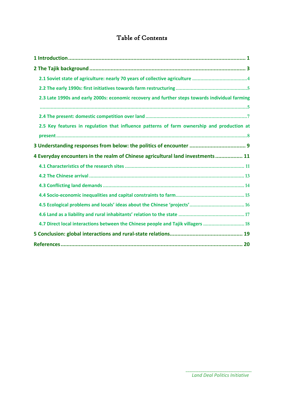### Table of Contents

| 2.3 Late 1990s and early 2000s: economic recovery and further steps towards individual farming |
|------------------------------------------------------------------------------------------------|
|                                                                                                |
|                                                                                                |
| 2.5 Key features in regulation that influence patterns of farm ownership and production at     |
|                                                                                                |
|                                                                                                |
|                                                                                                |
| 4 Everyday encounters in the realm of Chinese agricultural land investments  11                |
|                                                                                                |
|                                                                                                |
|                                                                                                |
|                                                                                                |
|                                                                                                |
|                                                                                                |
| 4.7 Direct local interactions between the Chinese people and Tajik villagers  18               |
|                                                                                                |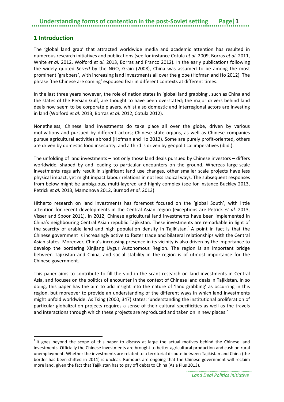#### <span id="page-4-1"></span><span id="page-4-0"></span>**1 Introduction**

 $\overline{a}$ 

The 'global land grab' that attracted worldwide media and academic attention has resulted in numerous research initiatives and publications (see for instance Cotula *et al*. 2009, Borras *et al.* 2011, White *et al.* 2012, Wolford *et al.* 2013, Borras and Franco 2012). In the early publications following the widely quoted *Seized* by the NGO, Grain (2008), China was assumed to be among the most prominent 'grabbers', with increasing land investments all over the globe (Hofman and Ho 2012). The phrase 'the Chinese are coming' espoused fear in different contexts at different times.

In the last three years however, the role of nation states in 'global land grabbing', such as China and the states of the Persian Gulf, are thought to have been overstated; the major drivers behind land deals now seem to be corporate players, whilst also domestic and interregional actors are investing in land (Wolford *et al*. 2013, Borras *et al*. 2012, Cotula 2012).

Nonetheless, Chinese land investments do take place all over the globe, driven by various motivations and pursued by different actors; Chinese state organs, as well as Chinese companies pursue agricultural activities abroad (Hofman and Ho 2012). Some are purely profit-oriented, others are driven by domestic food insecurity, and a third is driven by geopolitical imperatives (ibid.).

The unfolding of land investments – not only those land deals pursued by Chinese investors – differs worldwide, shaped by and leading to particular encounters on the ground. Whereas large-scale investments regularly result in significant land use changes, other smaller scale projects have less physical impact, yet might impact labour relations in not less radical ways. The subsequent responses from below might be ambiguous, multi-layered and highly complex (see for instance Buckley 2013, Petrick *et al.* 2013, Mamonova 2012, Burnod *et al.* 2013).

Hitherto research on land investments has foremost focused on the 'global South', with little attention for recent developments in the Central Asian region (exceptions are Petrick *et al.* 2013, Visser and Spoor 2011). In 2012, Chinese agricultural land investments have been implemented in China's neighbouring Central Asian republic Tajikistan. These investments are remarkable in light of the scarcity of arable land and high population density in Tajikistan.<sup>[1](#page-4-1)</sup> A point in fact is that the Chinese government is increasingly active to foster trade and bilateral relationships with the Central Asian states. Moreover, China's increasing presence in its vicinity is also driven by the importance to develop the bordering Xinjiang Uygur Autonomous Region. The region is an important bridge between Tajikistan and China, and social stability in the region is of utmost importance for the Chinese government.

This paper aims to contribute to fill the void in the scant research on land investments in Central Asia, and focuses on the politics of encounter in the context of Chinese land deals in Tajikistan. In so doing, this paper has the aim to add insight into the nature of 'land grabbing' as occurring in this region, but moreover to provide an understanding of the different ways in which land investments might unfold worldwide. As Tsing (2000, 347) states: 'understanding the institutional proliferation of particular globalization projects requires a sense of their cultural specificities as well as the travels and interactions through which these projects are reproduced and taken on in new places.'

 $<sup>1</sup>$  It goes beyond the scope of this paper to discuss at large the actual motives behind the Chinese land</sup> investments. Officially the Chinese investments are brought to better agricultural production and cushion rural unemployment. Whether the investments are related to a territorial dispute between Tajikistan and China (the border has been shifted in 2011) is unclear. Rumours are ongoing that the Chinese government will reclaim more land, given the fact that Tajikistan has to pay off debts to China (Asia Plus 2013).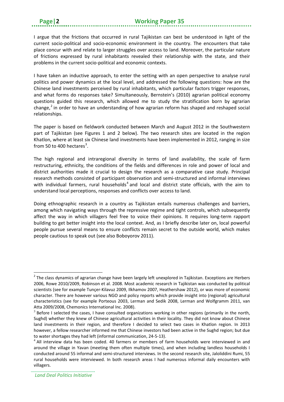<span id="page-5-0"></span>

I argue that the frictions that occurred in rural Tajikistan can best be understood in light of the current socio-political and socio-economic environment in the country. The encounters that take place concur with and relate to larger struggles over access to land. Moreover, the particular nature of frictions expressed by rural inhabitants revealed their relationship with the state, and their problems in the current socio-political and economic contexts.

I have taken an inductive approach, to enter the setting with an open perspective to analyse rural politics and power dynamics at the local level, and addressed the following questions: how are the Chinese land investments perceived by rural inhabitants, which particular factors trigger responses, and what forms do responses take? Simultaneously, Bernstein's (2010) agrarian political economy questions guided this research, which allowed me to study the stratification born by agrarian change,<sup>[2](#page-5-0)</sup> in order to have an understanding of how agrarian reform has shaped and reshaped social relationships.

The paper is based on fieldwork conducted between March and August 2012 in the Southwestern part of Tajikistan (see Figures 1 and 2 below). The two research sites are located in the region Khatlon, where at least six Chinese land investments have been implemented in 2012, ranging in size from 50 to 400 hectares<sup>[3](#page-5-1)</sup>.

The high regional and intraregional diversity in terms of land availability, the scale of farm restructuring, ethnicity, the conditions of the fields and differences in role and power of local and district authorities made it crucial to design the research as a comparative case study. Principal research methods consisted of participant observation and semi-structured and informal interviews with individual farmers, rural households<sup>[4](#page-5-2)</sup> and local and district state officials, with the aim to understand local perceptions, responses and conflicts over access to land.

Doing ethnographic research in a country as Tajikistan entails numerous challenges and barriers, among which navigating ways through the repressive regime and tight controls, which subsequently affect the way in which villagers feel free to voice their opinions. It requires long-term rapport building to get better insight into the local context. And, as I briefly describe later on, local powerful people pursue several means to ensure conflicts remain secret to the outside world, which makes people cautious to speak out (see also Boboyorov 2011).

 $\overline{a}$ 

 $2$  The class dynamics of agrarian change have been largely left unexplored in Tajikistan. Exceptions are Herbers 2006, Rowe 2010/2009, Robinson et al. 2008. Most academic research in Tajikistan was conducted by political scientists (see for example Tunçer-Kilavuz 2009, Ilkhamov 2007, Heathershaw 2012), or was more of economic character. There are however various NGO and policy reports which provide insight into (regional) agricultural characteristics (see for example Porteous 2003, Lerman and Sedik 2008, Lerman and Wolfgramm 2011, van Atta 2009/2008, Chemonics International Inc. 2008).

<span id="page-5-1"></span> $3$  Before I selected the cases, I have consulted organizations working in other regions (primarily in the north, Sughd) whether they knew of Chinese agricultural activities in their locality. They did not know about Chinese land investments in their region, and therefore I decided to select two cases in Khatlon region. In 2013 however, a fellow researcher informed me that Chinese investors had been active in the Sughd region; but due to water shortages they had left (informal communication, 24-5-13).

<span id="page-5-2"></span><sup>&</sup>lt;sup>4</sup> All interview data has been coded. 40 farmers or members of farm households were interviewed in and around the village in Yavan (meeting them often multiple times), and when including landless households I conducted around 55 informal and semi-structured interviews. In the second research site, Jaloliddini Rumi, 55 rural households were interviewed. In both research areas I had numerous informal daily encounters with villagers.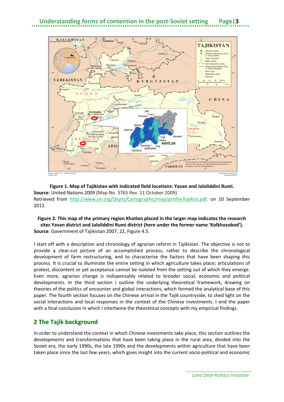

#### **Figure 1. Map of Tajikistan with indicated field locations: Yavan and Jaloliddini Rumi. Source**: United Nations 2009 (Map No. 3765 Rev. 11 October 2009) Retrieved from [http://www.un.org/Depts/Cartographic/map/profile/tajikist.pdf.](http://www.un.org/Depts/Cartographic/map/profile/tajikist.pdf) on 10 September 2012.

#### **Figure 2. This map of the primary region Khatlon placed in the larger map indicates the research sites Yavan district and Jaloliddini Rumi district (here under the former name 'Kolkhozobod'). Source**: Government of Tajikistan 2007, 22, Figure 4.5.

I start off with a description and chronology of agrarian reform in Tajikistan. The objective is not to provide a clear-cut picture of an accomplished process, rather to describe the chronological development of farm restructuring, and to characterise the factors that have been shaping this process. It is crucial to illuminate the entire setting in which agriculture takes place; articulations of protest, discontent or yet acceptance cannot be isolated from the setting out of which they emerge. Even more, agrarian change is indispensably related to broader social, economic and political developments. In the third section I outline the underlying theoretical framework, drawing on theories of the politics of encounter and global interactions, which formed the analytical base of this paper. The fourth section focuses on the Chinese arrival in the Tajik countryside, to shed light on the social interactions and local responses in the context of the Chinese investments. I end the paper with a final conclusion in which I intertwine the theoretical concepts with my empirical findings.

#### <span id="page-6-0"></span>**2 The Tajik background**

In order to understand the context in which Chinese investments take place, this section outlines the developments and transformations that have been taking place in the rural area, divided into the Soviet era, the early 1990s, the late 1990s and the developments within agriculture that have been taken place since the last few years, which gives insight into the current socio-political and economic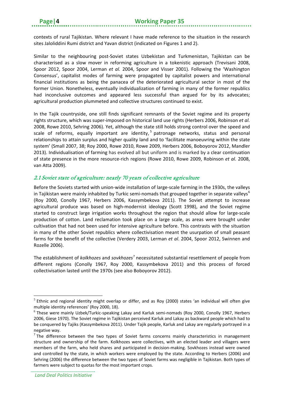contexts of rural Tajikistan. Where relevant I have made reference to the situation in the research sites Jaloliddini Rumi district and Yavan district (indicated on Figures 1 and 2).

Similar to the neighbouring post-Soviet states Uzbekistan and Turkmenistan, Tajikistan can be characterised as a slow mover in reforming agriculture in a tokenistic approach (Trevisani 2008, Spoor 2012, Spoor 2004, Lerman *et al.* 2004, Spoor and Visser 2001). Following the 'Washington Consensus', capitalist modes of farming were propagated by capitalist powers and international financial institutions as being the panacea of the deteriorated agricultural sector in most of the former Union. Nonetheless, eventually individualization of farming in many of the former republics had inconclusive outcomes and appeared less successful than argued for by its advocates; agricultural production plummeted and collective structures continued to exist.

In the Tajik countryside, one still finds significant remnants of the Soviet regime and its property rights structure, which was super-imposed on historical land use rights (Herbers 2006, Robinson *et al.* 2008, Rowe 2010, Sehring 2006). Yet, although the state still holds strong control over the speed and scale of reforms, equally important are identity,<sup>[5](#page-7-1)</sup> patronage networks, status and personal relationships to attain surplus and higher quality land and to 'facilitate manoeuvring within the state system' (Small 2007, 38; Roy 2000, Rowe 2010, Rowe 2009, Herbers 2006, Boboyorov 2012, Mandler 2013). Individualisation of farming has evolved all but uniform and is marked by a clear continuation of state presence in the more resource-rich regions (Rowe 2010, Rowe 2009, Robinson *et al.* 2008, van Atta 2009).

#### <span id="page-7-0"></span>2.1 Soviet state of agriculture: nearly 70 years of collective agriculture

Before the Soviets started with union-wide installation of large-scale farming in the 1930s, the valleys in Tajikistan were mainly inhabited by Turkic semi-nomads that grouped together in separate valleys<sup>[6](#page-7-2)</sup> (Roy 2000, Conolly 1967, Herbers 2006, Kassymbekova 2011). The Soviet attempt to increase agricultural produce was based on high-modernist ideology (Scott 1998), and the Soviet regime started to construct large irrigation works throughout the region that should allow for large-scale production of cotton. Land reclamation took place on a large scale, as areas were brought under cultivation that had not been used for intensive agriculture before. This contrasts with the situation in many of the other Soviet republics where collectivisation meant the usurpation of small peasant farms for the benefit of the collective (Verdery 2003, Lerman *et al*. 2004, Spoor 2012, Swinnen and Rozelle 2006).

The establishment of *kolkhozes* and *sovkhozes*[7](#page-7-3) necessitated substantial resettlement of people from different regions (Conolly 1967, Roy 2000, Kassymbekova 2011) and this process of forced collectivisation lasted until the 1970s (see also Boboyorov 2012).

<span id="page-7-1"></span> $5$  Ethnic and regional identity might overlap or differ, and as Roy (2000) states 'an individual will often give multiple identity references' (Roy 2000, 18). **.** 

<span id="page-7-2"></span><sup>6</sup> These were mainly Uzbek/Turkic-speaking Lakay and Karluk semi-nomads (Roy 2000, Conolly 1967, Herbers 2006, Giese 1970). The Soviet regime in Tajikistan perceived Karluk and Lakay as backward people which had to be conquered by Tajiks (Kassymbekova 2011). Under Tajik people, Karluk and Lakay are regularly portrayed in a negative way.

<span id="page-7-3"></span> $<sup>7</sup>$  The difference between the two types of Soviet farms concerns mainly characteristics in management</sup> structure and ownership of the farm. Kolkhozes were collectives, with an elected leader and villagers were members of the farm, who held shares and participated in decision-making. Sovkhozes instead were owned and controlled by the state, in which workers were employed by the state. According to Herbers (2006) and Sehring (2006) the difference between the two types of Soviet farms was negligible in Tajikistan. Both types of farmers were subject to quotas for the most important crops.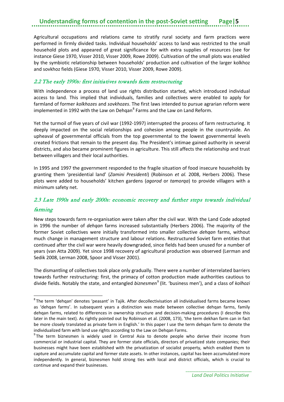Agricultural occupations and relations came to stratify rural society and farm practices were performed in firmly divided tasks. Individual households' access to land was restricted to the small household plots and appeared of great significance for with extra supplies of resources (see for instance Giese 1970, Visser 2010, Visser 2009, Rowe 2009). Cultivation of the small plots was enabled by the symbiotic relationship between households' production and cultivation of the larger kolkhoz and sovkhoz fields (Giese 1970, Visser 2010, Visser 2009, Rowe 2009).

#### <span id="page-8-0"></span>2.2 The early 1990s: first initiatives towards farm restructuring

With independence a process of land use rights distribution started, which introduced individual access to land. This implied that individuals, families and collectives were enabled to apply for farmland of former *kolkhozes* and *sovkhozes*. The first laws intended to pursue agrarian reform were implemented in 1992 with the Law on Dehqan $<sup>8</sup>$  $<sup>8</sup>$  $<sup>8</sup>$  Farms and the Law on Land Reform.</sup>

Yet the turmoil of five years of civil war (1992-1997) interrupted the process of farm restructuring. It deeply impacted on the social relationships and cohesion among people in the countryside. An upheaval of governmental officials from the top governmental to the lowest governmental levels created frictions that remain to the present day. The President's intimae gained authority in several districts, and also became prominent figures in agriculture. This still affects the relationship and trust between villagers and their local authorities.

In 1995 and 1997 the government responded to the fragile situation of food insecure households by granting them 'presidential land' (*Zamini Presidenti*) (Robinson *et al.* 2008, Herbers 2006). These plots were added to households' kitchen gardens (*agorod* or *tamorqa*) to provide villagers with a minimum safety net.

# <span id="page-8-1"></span>2.3 Late 1990s and early 2000s: economic recovery and further steps towards individual

#### farming

**.** 

New steps towards farm re-organisation were taken after the civil war. With the Land Code adopted in 1996 the number of *dehqan* farms increased substantially (Herbers 2006). The majority of the former Soviet collectives were initially transformed into smaller collective *dehqan* farms, without much change in management structure and labour relations. Restructured Soviet farm entities that continued after the civil war were heavily downgraded, since fields had been unused for a number of years (van Atta 2009). Yet since 1998 recovery of agricultural production was observed (Lerman and Sedik 2008, Lerman 2008, Spoor and Visser 2001).

The dismantling of collectives took place only gradually. There were a number of interrelated barriers towards further restructuring: first, the primacy of cotton production made authorities cautious to divide fields. Notably the state, and entangled *biznesmen*[9](#page-8-3) (lit. 'business men'), and a class of *kolhozi*

<span id="page-8-2"></span><sup>&</sup>lt;sup>8</sup>The term 'dehqan' denotes 'peasant' in Tajik. After decollectivisation all individualised farms became known as 'dehqan farms'. In subsequent years a distinction was made between collective dehqan farms, family dehqan farms, related to differences in ownership structure and decision-making procedures (I describe this later in the main text). As rightly pointed out by Robinson et al. (2008, 173), 'the term dekhan farm can in fact be more closely translated as private farm in English.' In this paper I use the term dehqan farm to denote the individualized farm with land use rights according to the Law on Dehqan Farms.

<span id="page-8-3"></span><sup>&</sup>lt;sup>9</sup>The term biznesmen is widely used in Central Asia to denote people who derive their income from commercial or industrial capital. They are former state officials, directors of privatized state companies; their businesses might have been established with the privatization of socialist property, which enabled them to capture and accumulate capital and former state assets. In other instances, capital has been accumulated more independently. In general, biznesmen hold strong ties with local and district officials, which is crucial to continue and expand their businesses.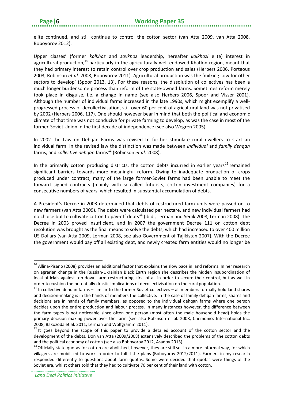elite continued, and still continue to control the cotton sector (van Atta 2009, van Atta 2008, Boboyorov 2012).

Upper classes' (former *kolkhoz* and *sovkhoz* leadership, hereafter *kolkhozi* elite) interest in agricultural production,<sup>[10](#page-9-0)</sup> particularly in the agriculturally well-endowed Khatlon region, meant that they had primary interest to retain control over crop production and sales (Herbers 2006, Porteous 2003, Robinson *et al.* 2008, Boboyorov 2011). Agricultural production was the 'milking cow for other sectors to develop' (Spoor 2013, 13). For these reasons, the dissolution of collectives has been a much longer burdensome process than reform of the state-owned farms. Sometimes reform merely took place in disguise, i.e. a change in name (see also Herbers 2006, Spoor and Visser 2001). Although the number of individual farms increased in the late 1990s, which might exemplify a wellprogressed process of decollectivisation, still over 60 per cent of agricultural land was not privatised by 2002 (Herbers 2006, 117). One should however bear in mind that both the political and economic climate of that time was not conducive for private farming to develop, as was the case in most of the former-Soviet Union in the first decade of independence (see also Wegren 2005).

In 2002 the Law on Dehqan Farms was revised to further stimulate rural dwellers to start an individual farm. In the revised law the distinction was made between *individual* and *family dehqan* farms, and *collective dehqan* farms<sup>[11](#page-9-1)</sup> (Robinson *et al.* 2008).

In the primarily cotton producing districts, the cotton debts incurred in earlier years<sup>[12](#page-9-2)</sup> remained significant barriers towards more meaningful reform. Owing to inadequate production of crops produced under contract, many of the large former-Soviet farms had been unable to meet the forward signed contracts (mainly with so-called futurists, cotton investment companies) for a consecutive numbers of years, which resulted in substantial accumulation of debts.

A President's Decree in 2003 determined that debts of restructured farm units were passed on to new farmers (van Atta 2009). The debts were calculated per hectare, and new individual farmers had no choice but to cultivate cotton to pay-off debts<sup>[13](#page-9-3)</sup> (ibid., Lerman and Sedik 2008, Lerman 2008). The Decree in 2003 proved insufficient, and in 2007 the government Decree 111 on cotton debt resolution was brought as the final means to solve the debts, which had increased to over 400 million US Dollars (van Atta 2009, Lerman 2008, see also Government of Tajikistan 2007). With the Decree the government would pay off all existing debt, and newly created farm entities would no longer be

 $\overline{a}$ 

<span id="page-9-0"></span> $10$  Allina-Pisano (2008) provides an additional factor that explains the slow pace in land reforms. In her research on agrarian change in the Russian-Ukrainian Black Earth region she describes the hidden insubordination of local officials against top down farm restructuring, first of all in order to secure their control, but as well in order to cushion the potentially drastic implications of decollectivisation on the rural population.

<span id="page-9-1"></span> $11$  In collective dehqan farms – similar to the former Soviet collectives – all members formally hold land shares and decision-making is in the hands of members the collective. In the case of family dehqan farms, shares and decisions are in hands of family members, as opposed to the individual dehqan farms where one person decides upon the entire production and labour process. In many instances however, the difference between the farm types is not noticeable since often one person (most often the male household head) holds the primary decision-making power over the farm (see also Robinson et al. 2008, Chemonics International Inc. 2008, Bakozoda et al. 2011, Lerman and Wolfgramm 2011).<br><sup>12</sup> It goes beyond the scope of this paper to provide a detailed account of the cotton sector and the

<span id="page-9-2"></span>development of the debts. Don van Atta (2009/2008) extensively described the problems of the cotton debts and the political economy of cotton (see also Boboyorov 2012, Asadov 2013).<br><sup>13</sup> Officially state quotas for cotton are abolished, however, they are still set in a more informal way, for which

<span id="page-9-3"></span>villagers are mobilised to work in order to fulfill the plans (Boboyorov 2012/2011). Farmers in my research responded differently to questions about farm quotas. Some were decided that quotas were things of the Soviet era, whilst others told that they had to cultivate 70 per cent of their land with cotton.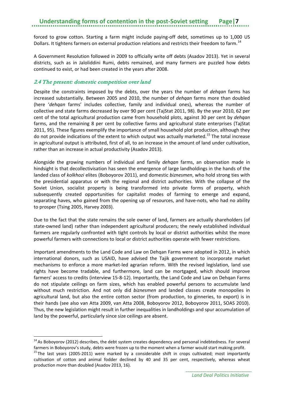forced to grow cotton. Starting a farm might include paying-off debt, sometimes up to 1,000 US Dollars. It tightens farmers on external production relations and restricts their freedom to farm.<sup>[14](#page-10-1)</sup>

A Government Resolution followed in 2009 to officially write off debts (Asadov 2013). Yet in several districts, such as in Jaloliddini Rumi, debts remained, and many farmers are puzzled how debts continued to exist, or had been created in the years after 2008.

#### <span id="page-10-0"></span>2.4 The present: domestic competition over land

 $\overline{a}$ 

Despite the constraints imposed by the debts, over the years the number of *dehqan* farms has increased substantially. Between 2005 and 2010, the number of *dehqan* farms more than doubled (here '*dehqan* farms' includes collective, family and individual ones), whereas the number of collective and state farms decreased by over 90 per cent (TajStat 2011, 98). By the year 2010, 62 per cent of the total agricultural production came from household plots, against 30 per cent by *dehqan* farms, and the remaining 8 per cent by collective farms and agricultural state enterprises (TajStat 2011, 95). These figures exemplify the importance of small household plot production, although they do not provide indications of the extent to which output was actually marketed.<sup>[15](#page-10-2)</sup> The total increase in agricultural output is attributed, first of all, to an increase in the amount of land under cultivation, rather than an increase in actual productivity (Asadov 2013).

Alongside the growing numbers of individual and family *dehqan* farms, an observation made in hindsight is that decollectivisation has seen the emergence of large landholdings in the hands of the landed class of *kolkhozi* elites (Boboyorov 2011), and domestic *biznesmen*, who hold strong ties with the presidential apparatus or with the regional and district authorities. With the collapse of the Soviet Union, socialist property is being transformed into private forms of property, which subsequently created opportunities for capitalist modes of farming to emerge and expand, separating haves, who gained from the opening up of resources, and have-nots, who had no ability to prosper (Tsing 2005, Harvey 2003).

Due to the fact that the state remains the sole owner of land, farmers are actually shareholders (of state-owned land) rather than independent agricultural producers; the newly established individual farmers are regularly confronted with tight controls by local or district authorities whilst the more powerful farmers with connections to local or district authorities operate with fewer restrictions.

Important amendments to the Land Code and Law on Dehqan Farms were adopted in 2012, in which international donors, such as USAID, have advised the Tajik government to incorporate market mechanisms to enforce a more market-led agrarian reform. With the revised legislation, land use rights have become tradable, and furthermore, land can be mortgaged, which should improve farmers' access to credits (interview 15-8-12). Importantly, the Land Code and Law on Dehqan Farms do not stipulate ceilings on farm sizes, which has enabled powerful persons to accumulate land without much restriction. And not only did *biznesmen* and landed classes create monopolies in agricultural land, but also the entire cotton sector (from production, to ginneries, to export) is in their hands (see also van Atta 2009, van Atta 2008, Boboyorov 2012, Boboyorov 2011, SOAS 2010). Thus, the new legislation might result in further inequalities in landholdings and spur accumulation of land by the powerful, particularly since size ceilings are absent.

<span id="page-10-1"></span><sup>&</sup>lt;sup>14</sup> As Boboyorov (2012) describes, the debt system creates dependency and personal indebtedness. For several farmers in Boboyorov's study, debts were frozen up to the moment when a farmer would start making profit.

<span id="page-10-2"></span> $15$  The last years (2005-2011) were marked by a considerable shift in crops cultivated; most importantly cultivation of cotton and animal fodder declined by 40 and 35 per cent, respectively, whereas wheat production more than doubled (Asadov 2013, 16).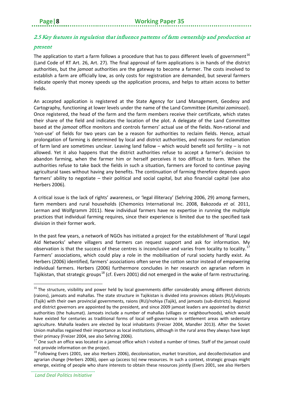#### <span id="page-11-0"></span>2.5 Key features in regulation that influence patterns of farm ownership and production at

#### present

The application to start a farm follows a procedure that has to pass different levels of government<sup>[16](#page-11-1)</sup> (Land Code of RT Art. 26, Art. 27). The final approval of farm applications is in hands of the district authorities, but the *jamoat* authorities are the gateway to become a farmer. The costs involved to establish a farm are officially low, as only costs for registration are demanded, but several farmers indicate openly that money speeds up the application process, and helps to attain access to better fields.

An accepted application is registered at the State Agency for Land Management, Geodesy and Cartography, functioning at lower levels under the name of the Land Committee (*Kumitai zaminsozi*). Once registered, the head of the farm and the farm members receive their certificate, which states their share of the field and indicates the location of the plot. A delegate of the Land Committee based at the *jamoat* office monitors and controls farmers' actual use of the fields. Non-rational and 'non-use' of fields for two years can be a reason for authorities to reclaim fields. Hence, actual prolongation of farming is determined by local and district authorities, and reasons for reclamation of farm land are sometimes unclear. Leaving land fallow – which would benefit soil fertility – is not allowed. Yet it also happens that the district authorities refuse to accept a farmer's decision to abandon farming, when the farmer him or herself perceives it too difficult to farm. When the authorities refuse to take back the fields in such a situation, farmers are forced to continue paying agricultural taxes without having any benefits. The continuation of farming therefore depends upon farmers' ability to negotiate – their political and social capital, but also financial capital (see also Herbers 2006).

A critical issue is the lack of rights' awareness, or 'legal illiteracy' (Sehring 2006, 29) among farmers, farm members and rural households (Chemonics International Inc. 2008, Bakozoda *et al.* 2011, Lerman and Wolfgramm 2011). New individual farmers have no expertise in running the multiple practices that individual farming requires, since their experience is limited due to the specified task division in their former work.

In the past few years, a network of NGOs has initiated a project for the establishment of 'Rural Legal Aid Networks' where villagers and farmers can request support and ask for information. My observation is that the success of these centres is inconclusive and varies from locality to locality.<sup>[17](#page-11-2)</sup> Farmers' associations, which could play a role in the mobilisation of rural society hardly exist. As Herbers (2006) identified, farmers' associations often serve the cotton sector instead of empowering individual farmers. Herbers (2006) furthermore concludes in her research on agrarian reform in Tajikistan, that strategic groups<sup>[18](#page-11-3)</sup> (cf. Evers 2001) did not emerged in the wake of farm restructuring.

 $\overline{a}$ 

<span id="page-11-1"></span> $16$  The structure, visibility and power held by local governments differ considerably among different districts (raions), jamoats and mahallas. The state structure in Tajikistan is divided into provinces oblasts (RU)/viloyats (Tajik) with their own provincial governments, raions (RU)/nohiya (Tajik), and jamoats (sub-districts). Regional and district governors are appointed by the president, and since 2009 jamoat leaders are appointed by district authorities (the hukumat). Jamoats include a number of mahallas (villages or neighbourhoods), which would have existed for centuries as traditional forms of local self-governance in settlement areas with sedentary agriculture. Mahalla leaders are elected by local inhabitants (Freizer 2004, Mandler 2013). After the Soviet Union mahallas regained their importance as local institutions, although in the rural area they always have kept their primacy (Freizer 2004, see also Sehring 2006).<br><sup>17</sup> One such an office was located in a jamoat office which I visited a number of times. Staff of the jamoat could

<span id="page-11-2"></span>not provide information on the project.

<span id="page-11-3"></span> $18$  Following Evers (2001, see also Herbers 2006), decolonisation, market transition, and decollectivisation and agrarian change (Herbers 2006), open up (access to) new resources. In such a context, strategic groups might emerge, existing of people who share interests to obtain these resources jointly (Evers 2001, see also Herbers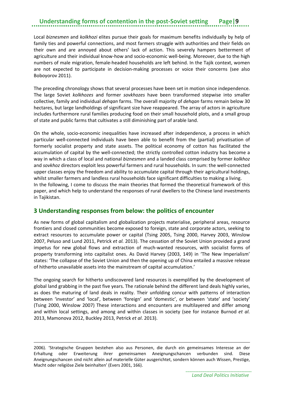Local *biznesmen* and *kolkhozi* elites pursue their goals for maximum benefits individually by help of family ties and powerful connections, and most farmers struggle with authorities and their fields on their own and are annoyed about others' lack of action. This severely hampers betterment of agriculture and their individual know-how and socio-economic well-being. Moreover, due to the high numbers of male migration, female-headed households are left behind. In the Tajik context, women are not expected to participate in decision-making processes or voice their concerns (see also Boboyorov 2011).

The preceding chronology shows that several processes have been set in motion since independence. The large Soviet *kolkhozes* and former *sovkhozes* have been transformed stepwise into smaller collective, family and individual *dehqan* farms. The overall majority of *dehqan* farms remain below 30 hectares, but large landholdings of significant size have reappeared. The array of actors in agriculture includes furthermore rural families producing food on their small household plots, and a small group of state and public farms that cultivates a still diminishing part of arable land.

On the whole, socio-economic inequalities have increased after independence, a process in which particular well-connected individuals have been able to benefit from the (partial) privatisation of formerly socialist property and state assets. The political economy of cotton has facilitated the accumulation of capital by the well-connected; the strictly controlled cotton industry has become a way in which a class of local and national *biznesmen* and a landed class comprised by former *kolkhoz* and *sovkhoz* directors exploit less powerful farmers and rural households. In sum: the well-connected upper classes enjoy the freedom and ability to accumulate capital through their agricultural holdings, whilst smaller farmers and landless rural households face significant difficulties to making a living. In the following, I come to discuss the main theories that formed the theoretical framework of this paper, and which help to understand the responses of rural dwellers to the Chinese land investments in Tajikistan.

#### <span id="page-12-0"></span>**3 Understanding responses from below: the politics of encounter**

As new forms of global capitalism and globalization projects materialise, peripheral areas, resource frontiers and closed communities become exposed to foreign, state and corporate actors, seeking to extract resources to accumulate power or capital (Tsing 2005, Tsing 2000, Harvey 2003, Winslow 2007, Peluso and Lund 2011, Petrick *et al.* 2013). The cessation of the Soviet Union provided a grand impetus for new global flows and extraction of much-wanted resources, with socialist forms of property transforming into capitalist ones. As David Harvey (2003, 149) in 'The New Imperialism' states: 'The collapse of the Soviet Union and then the opening up of China entailed a massive release of hitherto unavailable assets into the mainstream of capital accumulation.'

The ongoing search for hitherto undiscovered land resources is exemplified by the development of global land grabbing in the past five years. The rationale behind the different land deals highly varies, as does the maturing of land deals in reality. Their unfolding concur with patterns of interaction between 'investor' and 'local', between 'foreign' and 'domestic', or between 'state' and 'society' (Tsing 2000, Winslow 2007) These interactions and encounters are multilayered and differ among and within local settings, and among and within classes in society (see for instance Burnod *et al.* 2013, Mamonova 2012, Buckley 2013, Petrick *et al*. 2013).

2006). 'Strategische Gruppen bestehen also aus Personen, die durch ein gemeinsames Interesse an der Erhaltung oder Erweiterung ihrer gemeinsamen Aneignungschancen verbunden sind. Diese Aneignungschancen sind nicht allein auf materielle Güter ausgerichtet, sondern können auch Wissen, Prestige, Macht oder religiöse Ziele beinhalten' (Evers 2001, 166).

 $\overline{a}$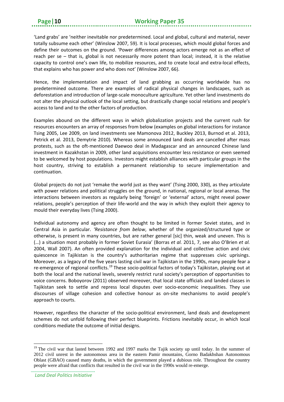'Land grabs' are 'neither inevitable nor predetermined. Local and global, cultural and material, never totally subsume each other' (Winslow 2007, 59). It is local processes, which mould global forces and define their outcomes on the ground. 'Power differences among actors emerge not as an effect of reach per se – that is, global is not necessarily more potent than local; instead, it is the relative capacity to control one's own life, to mobilize resources, and to create local and extra-local effects, that explains who has power and who does not' (Winslow 2007, 66).

Hence, the implementation and impact of land grabbing as occurring worldwide has no predetermined outcome. There are examples of radical physical changes in landscapes, such as deforestation and introduction of large-scale monoculture agriculture. Yet other land investments do not alter the physical outlook of the local setting, but drastically change social relations and people's access to land and to the other factors of production.

Examples abound on the different ways in which globalization projects and the current rush for resources encounters an array of responses from below (examples on global interactions for instance Tsing 2005, Lee 2009, on land investments see Mamonova 2012, Buckley 2013, Burnod et al. 2013, Petrick et al. 2013, Demytrie 2010). Whereas some announced land deals are cancelled after mass protests, such as the oft-mentioned Daewoo deal in Madagascar and an announced Chinese land investment in Kazakhstan in 2009, other land acquisitions encounter less resistance or even seemed to be welcomed by host populations. Investors might establish alliances with particular groups in the host country, striving to establish a permanent relationship to secure implementation and continuation.

Global projects do not just 'remake the world just as they want' (Tsing 2000, 330), as they articulate with power relations and political struggles on the ground, in national, regional or local arenas. The interactions between investors as regularly being 'foreign' or 'external' actors, might reveal power relations, people's perception of their life-world and the way in which they exploit their agency to mould their everyday lives (Tsing 2000).

Individual autonomy and agency are often thought to be limited in former Soviet states, and in Central Asia in particular. *'Resistance from below*, whether of the organized/structured type or otherwise, is present in many countries, but are rather general [sic] thin, weak and uneven. This is (…) a situation most probably in former Soviet Eurasia' (Borras *et al.* 2011, 7, see also O'Brien *et al.* 2004, Wall 2007). An often provided explanation for the individual and collective action and civic quiescence in Tajikistan is the country's authoritarian regime that suppresses civic uprisings. Moreover, as a legacy of the five years lasting civil war in Tajikistan in the 1990s, many people fear a re-emergence of regional conflicts.<sup>[19](#page-13-0)</sup> These socio-political factors of today's Tajikistan, playing out at both the local and the national levels, severely restrict rural society's perception of opportunities to voice concerns. Boboyorov (2011) observed moreover, that local state officials and landed classes in Tajikistan seek to settle and repress local disputes over socio-economic inequalities. They use discourses of village cohesion and collective honour as on-site mechanisms to avoid people's approach to courts.

However, regardless the character of the socio-political environment, land deals and development schemes do not unfold following their perfect blueprints. Frictions inevitably occur, in which local conditions mediate the outcome of initial designs.

**.** 

<span id="page-13-0"></span><sup>&</sup>lt;sup>19</sup> The civil war that lasted between 1992 and 1997 marks the Tajik society up until today. In the summer of 2012 civil unrest in the autonomous area in the eastern Pamir mountains, Gorno Badakhshan Autonomous Oblast (GBAO) caused many deaths, in which the government played a dubious role. Throughout the country people were afraid that conflicts that resulted in the civil war in the 1990s would re-emerge.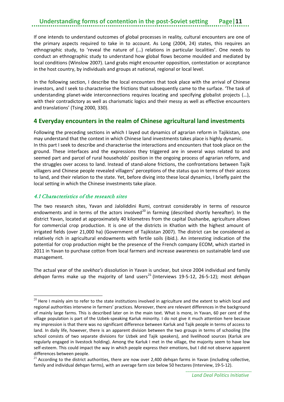If one intends to understand outcomes of global processes in reality, cultural encounters are one of the primary aspects required to take in to account. As Long (2004, 24) states, this requires an ethnographic study, to 'reveal the nature of (…) relations in particular localities'. One needs to conduct an ethnographic study to understand how global flows become moulded and mediated by local conditions (Winslow 2007). Land grabs might encounter opposition, contestation or acceptance in the host country, by individuals and groups at national, regional or local level.

In the following section, I describe the local encounters that took place with the arrival of Chinese investors, and I seek to characterise the frictions that subsequently came to the surface. 'The task of understanding planet-wide interconnections requires locating and specifying globalist projects (…), with their contradictory as well as charismatic logics and their messy as well as effective encounters and translations' (Tsing 2000, 330).

#### <span id="page-14-0"></span>**4 Everyday encounters in the realm of Chinese agricultural land investments**

Following the preceding sections in which I layed out dynamics of agrarian reform in Tajikistan, one may understand that the context in which Chinese land investments takes place is highly dynamic. In this part I seek to describe and characterise the interactions and encounters that took place on the ground. These interfaces and the expressions they triggered are in several ways related to and seemed part and parcel of rural households' position in the ongoing process of agrarian reform, and the struggles over access to land. Instead of stand-alone frictions, the confrontations between Tajik villagers and Chinese people revealed villagers' perceptions of the status quo in terms of their access to land, and their relation to the state. Yet, before diving into these local dynamics, I briefly paint the local setting in which the Chinese investments take place.

#### <span id="page-14-1"></span>4.1 Characteristics of the research sites

**.** 

The two research sites, Yavan and Jaloliddini Rumi, contrast considerably in terms of resource endowments and in terms of the actors involved<sup>[20](#page-14-2)</sup> in farming (described shortly hereafter). In the district Yavan, located at approximately 40 kilometres from the capital Dushanbe, agriculture allows for commercial crop production. It is one of the districts in Khatlon with the highest amount of irrigated fields (over 21,000 ha) (Government of Tajikistan 2007). The district can be considered as relatively rich in agricultural endowments with fertile soils (ibid.). An interesting indication of the potential for crop production might be the presence of the French company ECOM, which started in 2011 in Yavan to purchase cotton from local farmers and increase awareness on sustainable land use management.

The actual year of the *sovkhoz's* dissolution in Yavan is unclear, but since 2004 individual and family dehqan farms make up the majority of land users<sup>[21](#page-14-3)</sup> (Interviews 19-5-12, 26-5-12); most *dehqan* 

<span id="page-14-2"></span> $20$  Here I mainly aim to refer to the state institutions involved in agriculture and the extent to which local and regional authorities intervene in farmers' practices. Moreover, there are relevant differences in the background of mainly large farms. This is described later on in the main text. What is more, in Yavan, 60 per cent of the village population is part of the Uzbek-speaking Karluk minority. I do not give it much attention here because my impression is that there was no significant difference between Karluk and Tajik people in terms of access to land. In daily life, however, there is an apparent division between the two groups in terms of schooling (the school consists of two separate divisions for Uzbek and Tajik speakers), and livelihood sources (Karluk are regularly engaged in livestock holding). Among the Karluk I met in the village, the majority seem to have low self-esteem. This could impact the way in which people express their emotions, but I did not observe apparent differences between people.

<span id="page-14-3"></span> $21$  According to the district authorities, there are now over 2,400 dehqan farms in Yavan (including collective, family and individual dehqan farms), with an average farm size below 50 hectares (Interview, 19-5-12).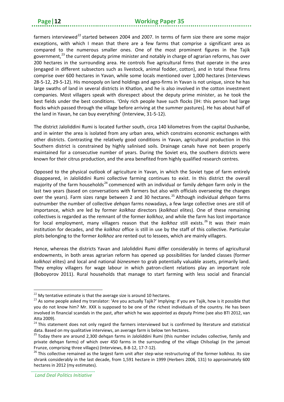farmers interviewed<sup>[22](#page-15-0)</sup> started between 2004 and 2007. In terms of farm size there are some major exceptions, with which I mean that there are a few farms that comprise a significant area as compared to the numerous smaller ones. One of the most prominent figures in the Tajik government,<sup>[23](#page-15-1)</sup> the current deputy prime minister and notably in charge of agrarian reforms, has over 200 hectares in the surrounding area. He controls five agricultural firms that operate in the area (engaged in different subsectors such as livestock, animal fodder, cotton), and in total these firms comprise over 600 hectares in Yavan, while some locals mentioned over 1,000 hectares (Interviews 28-5-12, 29-5-12). His monopoly on land holdings and agro-firms in Yavan is not unique, since he has large swaths of land in several districts in Khatlon, and he is also involved in the cotton investment companies. Most villagers speak with disrespect about the deputy prime minister, as he took the best fields under the best conditions. 'Only rich people have such flocks [IH: this person had large flocks which passed through the village before arriving at the summer pastures]. He has about half of the land in Yavan, he can buy everything' (Interview, 31-5-12).

The district Jaloliddini Rumi is located further south, circa 140 kilometres from the capital Dushanbe, and in winter the area is isolated from any urban area, which constrains economic exchanges with other districts. Contrasting the relatively good conditions in Yavan, agricultural production in this Southern district is constrained by highly salinised soils. Drainage canals have not been properly maintained for a consecutive number of years. During the Soviet era, the southern districts were known for their citrus production, and the area benefited from highly qualified research centres.

Opposed to the physical outlook of agriculture in Yavan, in which the Soviet type of farm entirely disappeared, in Jaloliddini Rumi collective farming continues to exist. In this district the overall majority of the farm households<sup>[24](#page-15-2)</sup> commenced with an individual or family *dehqan* farm only in the last two years (based on conversations with farmers but also with officials overseeing the changes over the years). Farm sizes range between 2 and 30 hectares. [25](#page-15-3) Although individual *dehqan* farms outnumber the number of collective *dehqan* farms nowadays, a few large collective ones are still of importance, which are led by former *kolkhoz* directors (*kolkhozi* elites). One of these remaining collectives is regarded as the remnant of the former *kolkhoz*, and while the farm has lost importance for local employment, many villagers reason that the *kolkhoz* still exists. [26](#page-15-4) It was their main institution for decades, and the *kolkhoz* office is still in use by the staff of this collective. Particular plots belonging to the former *kolkhoz* are rented out to lessees, which are mainly villagers.

Hence, whereas the districts Yavan and Jaloliddini Rumi differ considerably in terms of agricultural endowments, in both areas agrarian reform has opened up possibilities for landed classes (former *kolkhozi* elites) and local and national *biznesmen* to grab potentially valuable assets, primarily land. They employ villagers for wage labour in which patron-client relations play an important role (Boboyorov 2011). Rural households that manage to start farming with less social and financial

**.** 

<span id="page-15-0"></span> $22$  My tentative estimate is that the average size is around 10 hectares.

<span id="page-15-1"></span> $^{23}$  As some people asked my translator: 'Are you actually Tajik?' Implying: If you are Tajik, how is it possible that you do not know him? Mr. XXX is supposed to be one of the richest individuals of the country. He has been involved in financial scandals in the past, after which he was appointed as deputy Prime (see also BTI 2012, van

<span id="page-15-2"></span>Atta 2009).<br><sup>24</sup> This statement does not only regard the farmers interviewed but is confirmed by literature and statistical data. Based on my qualitative interviews, an average farm is below ten hectares.

<span id="page-15-3"></span><sup>&</sup>lt;sup>25</sup> Today there are around 2,300 dehqan farms in Jaloliddini Rumi (this number includes collective, family and private dehqan farms) of which over 450 farms in the surrounding of the village Chilsolagi (in the jamoat Frunze, comprising three villages) (Interviews, 8-8-12, 17-7-12).<br><sup>26</sup> This collective remained as the largest farm unit after step-wise restructuring of the former kolkhoz. Its size

<span id="page-15-4"></span>shrank considerably in the last decade, from 1,591 hectare in 1999 (Herbers 2006, 131) to approximately 600 hectares in 2012 (my estimates).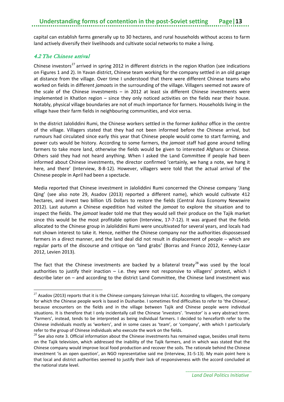capital can establish farms generally up to 30 hectares, and rural households without access to farm land actively diversify their livelihoods and cultivate social networks to make a living.

#### <span id="page-16-0"></span>4.2 The Chinese arrival

**.** 

Chinese investors<sup>[27](#page-16-1)</sup> arrived in spring 2012 in different districts in the region Khatlon (see indications on Figures 1 and 2). In Yavan district, Chinese team working for the company settled in an old garage at distance from the village. Over time I understood that there were different Chinese teams who worked on fields in different *jamoats* in the surrounding of the village. Villagers seemed not aware of the scale of the Chinese investments – in 2012 at least six different Chinese investments were implemented in Khatlon region – since they only noticed activities on the fields near their house. Notably, physical village boundaries are not of much importance for farmers. Households living in the village have their farm fields in neighbouring communities, and vice versa.

In the district Jaloliddini Rumi, the Chinese workers settled in the former *kolkhoz* office in the centre of the village. Villagers stated that they had not been informed before the Chinese arrival, but rumours had circulated since early this year that Chinese people would come to start farming, and power cuts would be history. According to some farmers, the *jamoat* staff had gone around telling farmers to take more land, otherwise the fields would be given to interested Afghans or Chinese. Others said they had not heard anything. When I asked the Land Committee if people had been informed about Chinese investments, the director confirmed 'certainly, we hang a note, we hang it here, and there' (Interview, 8-8-12). However, villagers were told that the actual arrival of the Chinese people in April had been a spectacle.

Media reported that Chinese investment in Jaloliddini Rumi concerned the Chinese company 'Jiang Qing' (see also note 29, Asadov (2013) reported a different name), which would cultivate 412 hectares, and invest two billion US Dollars to restore the fields (Central Asia Economy Newswire 2012). Last autumn a Chinese expedition had visited the *jamoat* to explore the situation and to inspect the fields. The *jamoat* leader told me that they would sell their produce on the Tajik market since this would be the most profitable option (Interview, 17-7-12). It was argued that the fields allocated to the Chinese group in Jaloliddini Rumi were uncultivated for several years, and locals had not shown interest to take it. Hence, neither the Chinese company nor the authorities dispossessed farmers in a direct manner, and the land deal did not result in displacement of people – which are regular parts of the discourse and critique on 'land grabs' (Borras and Franco 2012, Kenney-Lazar 2012, Levien 2013).

The fact that the Chinese investments are backed by a bilateral treaty<sup>[28](#page-16-2)</sup> was used by the local authorities to justify their inaction  $-$  i.e. they were not responsive to villagers' protest, which I describe later on – and according to the district Land Committee, the Chinese land investment was

<span id="page-16-1"></span> $27$  Asadov (2013) reports that it is the Chinese company Szinnyan Inhai LLC. According to villagers, the company for which the Chinese people work is based in Dushanbe. I sometimes find difficulties to refer to 'the Chinese', because encounters on the fields and in the village between Tajik and Chinese people were individual situations. It is therefore that I only incidentally call the Chinese 'investors'. 'Investor' is a very abstract term. 'Farmers', instead, tends to be interpreted as being individual farmers. I decided to henceforth refer to the Chinese individuals mostly as 'workers', and in some cases as 'team', or 'company', with which I particularly refer to the group of Chinese individuals who execute the work on the fields.

<span id="page-16-2"></span> $^{28}$  See also note 3. Official information about the Chinese investments has remained vague, besides small items on the Tajik television, which addressed the inability of the Tajik farmers, and in which was stated that the Chinese company would improve local food production and recover the soils. The rationale behind the Chinese investment 'is an open question', an NGO representative said me (Interview, 31-5-13). My main point here is that local and district authorities seemed to justify their lack of responsiveness with the accord concluded at the national state level.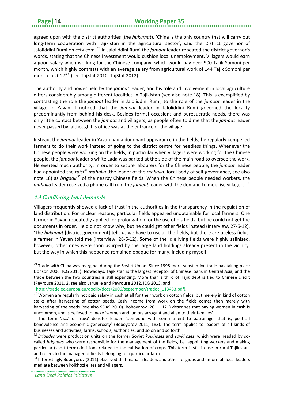agreed upon with the district authorities (the *hukumat*). 'China is the only country that will carry out long-term cooperation with Tajikistan in the agricultural sector', said the District governor of Jaloliddini Rumi on cctv.com. [29](#page-17-1) In Jaloliddini Rumi the *jamoat* leader repeated the district governor's words, stating that the Chinese investment would cushion local unemployment. Villagers would earn a good salary when working for the Chinese company, which would pay over 900 Tajik Somoni per month, which highly contrasts with an average salary from agricultural work of 144 Tajik Somoni per month in 2012 $^{30}$  (see TajStat 2010, TajStat 2012).

The authority and power held by the *jamoat* leader, and his role and involvement in local agriculture differs considerably among different localities in Tajikistan (see also note 18). This is exemplified by contrasting the role the *jamoat* leader in Jaloliddini Rumi, to the role of the *jamoat* leader in the village in Yavan. I noticed that the *jamoat* leader in Jaloliddini Rumi governed the locality predominantly from behind his desk. Besides formal occasions and bureaucratic needs, there was only little contact between the *jamoat* and villagers, as people often told me that the *jamoat* leader never passed by, although his office was at the entrance of the village.

Instead, the *jamoat* leader in Yavan had a dominant appearance in the fields; he regularly compelled farmers to do their work instead of going to the district centre for needless things. Whenever the Chinese people were working on the fields, in particular when villagers were working for the Chinese people, the *jamoat* leader's white Lada was parked at the side of the main road to oversee the work. He exerted much authority. In order to secure labourers for the Chinese people, the *jamoat* leader had appointed the *raisi*[31](#page-17-3) *mahalla* (the leader of the *mahalla:* local body of self-governance, see also note 18) as *brigadir*[32](#page-17-4) of the nearby Chinese fields. When the Chinese people needed workers, the *mahalla* leader received a phone call from the *jamoat* leader with the demand to mobilise villagers. [33](#page-17-5)

#### <span id="page-17-0"></span>4.3 Conflicting land demands

**.** 

Villagers frequently showed a lack of trust in the authorities in the transparency in the regulation of land distribution. For unclear reasons, particular fields appeared unobtainable for local farmers. One farmer in Yavan repeatedly applied for prolongation for the use of his fields, but he could not get the documents in order. He did not know why, but he could get other fields instead (Interview, 27-6-12). 'The *hukumat* [district government] tells us we have to use all the fields, but there are useless fields, a farmer in Yavan told me (Interview, 28-6-12). Some of the idle lying fields were highly salinised, however, other ones were soon usurped by the large land holdings already present in the vicinity, but the way in which this happened remained opaque for many, including myself.

<span id="page-17-1"></span> $29$  Trade with China was marginal during the Soviet Union. Since 1998 more substantive trade has taking place (Jonson 2006, ICG 2013). Nowadays, Tajikistan is the largest receptor of Chinese loans in Central Asia, and the trade between the two countries is still expanding. More than a third of Tajik debt is tied to Chinese credit (Peyrouse 2011, 2, see also Laruelle and Peyrouse 2012, ICG 2013, and

http://trade.ec.europa.eu/doclib/docs/2006/september/tradoc\_113453.pdf).

<span id="page-17-2"></span><sup>&</sup>lt;sup>30</sup> Women are regularly not paid salary in cash at all for their work on cotton fields, but merely in kind of cotton stalks after harvesting of cotton seeds. Cash income from work on the fields comes then merely with harvesting of the seeds (see also SOAS 2010). Boboyorov (2011, 121) describes that paying women in cash is uncommon, and is believed to make 'women and juniors arrogant and alien to their families'.

<span id="page-17-3"></span><sup>31</sup> The term '*rais*' or '*raisi*' denotes leader; 'someone with commitment to patronage, that is, political benevolence and economic generosity' (Boboyorov 2011, 183). The term applies to leaders of all kinds of businesses and activities; farms, schools, authorities, and so on and so forth.

<span id="page-17-4"></span>*<sup>32</sup> Brigades* were production units on the former Soviet *kolkhozes* and *sovkhozes*, which were headed by socalled *brigadirs* who were responsible for the management of the fields, i.e. appointing workers and making particular (short term) decisions related to the cultivation of crops. This term is still in use in rural Tajikistan, and refers to the manager of fields belonging to a particular farm.

<span id="page-17-5"></span> $33$  Interestingly Boboyorov (2011) observed that mahalla leaders and other religious and (informal) local leaders mediate between kolkhozi elites and villagers.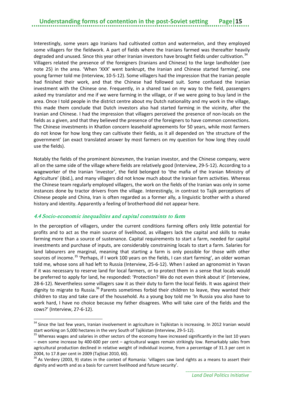Interestingly, some years ago Iranians had cultivated cotton and watermelon, and they employed some villagers for the fieldwork. A part of fields where the Iranians farmed was thereafter heavily degraded and unused. Since this year other Iranian investors have brought fields under cultivation.<sup>[34](#page-18-1)</sup> Villagers related the presence of the foreigners (Iranians and Chinese) to the large landholder (see note 25) in the area. 'When 'XXX' went bankrupt, the Iranian and Chinese started farming', one young farmer told me (Interview, 10-5-12). Some villagers had the impression that the Iranian people had finished their work, and that the Chinese had followed suit. Some confused the Iranian investment with the Chinese one. Frequently, in a shared taxi on my way to the field, passengers asked my translator and me if we were farming in the village, or if we were going to buy land in the area. Once I told people in the district centre about my Dutch nationality and my work in the village, this made them conclude that Dutch investors also had started farming in the vicinity, after the Iranian and Chinese. I had the impression that villagers perceived the presence of non-locals on the fields as a given, and that they believed the presence of the foreigners to have common connections. The Chinese investments in Khatlon concern leasehold agreements for 50 years, while most farmers do not know for how long they can cultivate their fields, as it all depended on 'the structure of the government' (an exact translated answer by most farmers on my question for how long they could use the fields).

Notably the fields of the prominent *biznesmen*, the Iranian investor, and the Chinese company, were all on the same side of the village where fields are relatively good (Interview, 29-5-12). According to a wageworker of the Iranian 'investor', the field belonged to 'the mafia of the Iranian Ministry of Agriculture' (ibid.), and many villagers did not know much about the Iranian farm activities. Whereas the Chinese team regularly employed villagers, the work on the fields of the Iranian was only in some instances done by tractor drivers from the village. Interestingly, in contrast to Tajik perceptions of Chinese people and China, Iran is often regarded as a former ally, a linguistic brother with a shared history and identity. Apparently a feeling of brotherhood did not appear here.

#### <span id="page-18-0"></span>4.4 Socio-economic inequalities and capital constraints to farm

**.** 

In the perception of villagers, under the current conditions farming offers only little potential for profits and to act as the main source of livelihood, as villagers lack the capital and skills to make farming more than a source of sustenance. Capital requirements to start a farm, needed for capital investments and purchase of inputs, are considerably constraining locals to start a farm. Salaries for land labourers are marginal, meaning that starting a farm is only possible for those with other sources of income.<sup>[35](#page-18-2)</sup> 'Perhaps, if I work 100 years on the fields, I can start farming', an older woman told me, whose sons all had left to Russia (Interview, 25-6-12). When I asked an agronomist in Yavan if it was necessary to reserve land for local farmers, or to protect them in a sense that locals would be preferred to apply for land, he responded: 'Protection? We do not even think about it' (Interview, 28-6-12). Nevertheless some villagers saw it as their duty to farm the local fields. It was against their dignity to migrate to Russia.<sup>[36](#page-18-3)</sup> Parents sometimes forbid their children to leave, they wanted their children to stay and take care of the household. As a young boy told me 'In Russia you also have to work hard, I have no choice because my father disagrees. Who will take care of the fields and the cows?' (Interview, 27-6-12).

<span id="page-18-1"></span><sup>&</sup>lt;sup>34</sup> Since the last few years, Iranian involvement in agriculture in Tajikistan is increasing. In 2012 Iranian would start working on 5,000 hectares in the very South of Tajikistan (Interview, 29-5-12).<br><sup>35</sup> Whereas wages and salaries in other sectors of the economy have increased significantly in the last 10 years

<span id="page-18-2"></span><sup>–</sup> even some increase by 400-600 per cent – agricultural wages remain strikingly low. Remarkably sales from agricultural production declined in relative weight of individual income, from a percentage of 31.3 per cent in 2004, to 17.8 per cent in 2009 (TajStat 2010, 60).<br><sup>36</sup> As Verdery (2003, 9) states in the context of Romania: 'villagers saw land rights as a means to assert their

<span id="page-18-3"></span>dignity and worth and as a basis for current livelihood and future security'.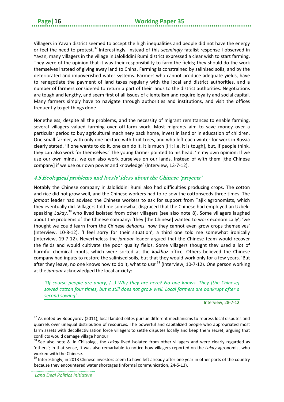Villagers in Yavan district seemed to accept the high inequalities and people did not have the energy or feel the need to protest.<sup>[37](#page-19-1)</sup> Interestingly, instead of this *seemingly* fatalist response I observed in Yavan, many villagers in the village in Jaloliddini Rumi district expressed a clear wish to start farming. They were of the opinion that it was their responsibility to farm the fields; they should do the work themselves instead of giving away land to China. Farming is constrained by salinised soils, and by the deteriorated and impoverished water systems. Farmers who cannot produce adequate yields, have to renegotiate the payment of land taxes regularly with the local and district authorities, and a number of farmers considered to return a part of their lands to the district authorities. Negotiations are tough and lengthy, and seem first of all issues of clientelism and require loyalty and social capital. Many farmers simply have to navigate through authorities and institutions, and visit the offices frequently to get things done

Nonetheless, despite all the problems, and the necessity of migrant remittances to enable farming, several villagers valued farming over off-farm work. Most migrants aim to save money over a particular period to buy agricultural machinery back home, invest in land or in education of children. One small farmer, with only one hectare with fruit trees, and who left each winter for work in Russia clearly stated, 'if one wants to do it, one can do it. It is much [IH: i.e. it is tough], but, if people think, they can also work for themselves.' The young farmer pointed to his head. 'In my own opinion: If we use our own minds, we can also work ourselves on our lands. Instead of with them [the Chinese company] if we use our own power and knowledge' (Interview, 13-7-12).

#### <span id="page-19-0"></span>4.5 Ecological problems and locals' ideas about the Chinese 'projects'

Notably the Chinese company in Jaloliddini Rumi also had difficulties producing crops. The cotton and rice did not grow well, and the Chinese workers had to re-sow the cottonseeds three times. The *jamoat* leader had advised the Chinese workers to ask for support from Tajik agronomists, which they eventually did. Villagers told me somewhat disgraced that the Chinese had employed an Uzbekspeaking *Lakay*, [38](#page-19-2) who lived isolated from other villagers (see also note 8). Some villagers laughed about the problems of the Chinese company: 'they [the Chinese] wanted to work economically'; 'we thought we could learn from the Chinese *dehqans*, now they cannot even grow crops themselves' (Interview, 10-8-12). 'I feel sorry for their situation', a third one told me somewhat ironically (Interview, 19-7-12). Nevertheless the *jamoat* leader argued that the Chinese team would recover the fields and would cultivate the poor quality fields. Some villagers thought they used a lot of harmful chemical inputs, which were sorted at the *kolkhoz* office. Others believed the Chinese company had inputs to restore the salinised soils, but that they would work only for a few years. 'But after they leave, no one knows how to do it, what to use'<sup>[39](#page-19-3)</sup> (Interview, 10-7-12). One person working at the *jamoat* acknowledged the local anxiety:

*'Of course people are angry, (...)* Why they are here? No one knows. They [the Chinese] *sowed cotton four times, but it still does not grow well. Local farmers are bankrupt after a second sowing' .*

Interview, 28-7-12

*Land Deal Politics Initiative*

 $\overline{a}$ 

<span id="page-19-1"></span> $37$  As noted by Boboyorov (2011), local landed elites pursue different mechanisms to repress local disputes and quarrels over unequal distribution of resources. The powerful and capitalized people who appropriated most farm assets with decollectivisation force villagers to settle disputes locally and keep them secret, arguing that conflicts would damage village honour.

<span id="page-19-2"></span><sup>38</sup> See also note 8. In Chilsolagi, the *Lakay* lived isolated from other villagers and were clearly regarded as 'others'; in that sense, it was also remarkable to notice how villagers reported on the *Lakay* agronomist who worked with the Chinese.

<span id="page-19-3"></span><sup>&</sup>lt;sup>39</sup> Interestingly, in 2013 Chinese investors seem to have left already after one year in other parts of the country because they encountered water shortages (informal communication, 24-5-13).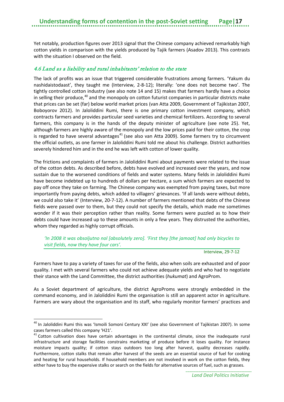Yet notably, production figures over 2013 signal that the Chinese company achieved remarkably high cotton yields in comparison with the yields produced by Tajik farmers (Asadov 2013). This contrasts with the situation I observed on the field.

#### <span id="page-20-0"></span>4.6 Land as a liability and rural inhabitants' relation to the state

The lack of profits was an issue that triggered considerable frustrations among farmers. 'Yakum du nashidaistodaast', they taught me (Interview, 2-8-12); literally: 'one does not become two'. The tightly controlled cotton industry (see also note 14 and 15) makes that farmers hardly have a choice in selling their produce,<sup>[40](#page-20-1)</sup> and the monopoly on cotton futurist companies in particular districts make that prices can be set (far) below world market prices (van Atta 2009, Government of Tajikistan 2007, Boboyorov 2012). In Jaloliddini Rumi, there is one primary cotton investment company, which contracts farmers and provides particular seed varieties and chemical fertilizers. According to several farmers, this company is in the hands of the deputy minister of agriculture (see note 25). Yet, although farmers are highly aware of the monopoly and the low prices paid for their cotton, the crop is regarded to have several advantages $41$  (see also van Atta 2009). Some farmers try to circumvent the official outlets, as one farmer in Jaloliddini Rumi told me about his challenge. District authorities severely hindered him and in the end he was left with cotton of lower quality.

The frictions and complaints of farmers in Jaloliddini Rumi about payments were related to the issue of the cotton debts. As described before, debts have evolved and increased over the years, and now sustain due to the worsened conditions of fields and water systems. Many fields in Jaloliddini Rumi have become indebted up to hundreds of dollars per hectare, a sum which farmers are expected to pay off once they take on farming. The Chinese company was exempted from paying taxes, but more importantly from paying debts, which added to villagers' grievances. 'If all lands were without debts, we could also take it' (Interview, 20-7-12). A number of farmers mentioned that debts of the Chinese fields were passed over to them, but they could not specify the details, which made me sometimes wonder if it was their perception rather than reality. Some farmers were puzzled as to how their debts could have increased up to these amounts in only a few years. They distrusted the authorities, whom they regarded as highly corrupt officials.

#### *'In 2008 it was obsoljutno nol [absolutely zero]. 'First they [the jamoat] had only bicycles to visit fields, now they have four cars'.*

Interview, 29-7-12

Farmers have to pay a variety of taxes for use of the fields, also when soils are exhausted and of poor quality. I met with several farmers who could not achieve adequate yields and who had to negotiate their stance with the Land Committee, the district authorities (*hukumat*) and AgroProm.

As a Soviet department of agriculture, the district AgroProms were strongly embedded in the command economy, and in Jaloliddini Rumi the organisation is still an apparent actor in agriculture. Farmers are wary about the organisation and its staff, who regularly monitor farmers' practices and

**.** 

<span id="page-20-1"></span><sup>&</sup>lt;sup>40</sup> In Jaloliddini Rumi this was 'Ismoili Somoni Century XXI' (see also Government of Tajikistan 2007). In some cases farmers called this company 'H21'.

<span id="page-20-2"></span><sup>&</sup>lt;sup>41</sup> Cotton cultivation does have certain advantages in the continental climate, since the inadequate rural infrastructure and storage facilities constrains marketing of produce before it loses quality. For instance moisture impacts quality; if cotton stays outdoors too long after harvest, quality decreases rapidly. Furthermore, cotton stalks that remain after harvest of the seeds are an essential source of fuel for cooking and heating for rural households. If household members are not involved in work on the cotton fields, they either have to buy the expensive stalks or search on the fields for alternative sources of fuel, such as grasses.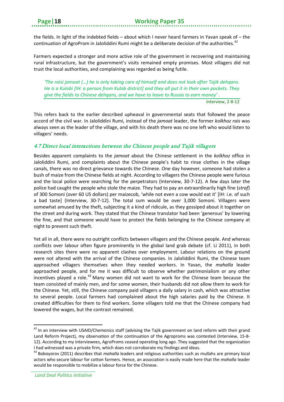the fields. In light of the indebted fields – about which I never heard farmers in Yavan speak of – the continuation of AgroProm in Jaloliddini Rumi might be a deliberate decision of the authorities.<sup>[42](#page-21-1)</sup>

Farmers expected a stronger and more active role of the government in recovering and maintaining rural infrastructure, but the government's visits remained empty promises. Most villagers did not trust the local authorities, and complaining was regarded as being futile.

*'The raisi jamoat (…) he is only taking care of himself and does not look after Tajik dehqans. He is a Kulobi [IH: a person from Kulob district] and they all put it in their own pockets. They give the fields to Chinese dehqans, and we have to leave to Russia to earn money' .*

Interview, 2-8-12

This refers back to the earlier described upheaval in governmental seats that followed the peace accord of the civil war. In Jaloliddini Rumi, instead of the *jamoat* leader, the former *kolkhoz rais* was always seen as the leader of the village, and with his death there was no one left who would listen to villagers' needs.

#### <span id="page-21-0"></span>4.7 Direct local interactions between the Chinese people and Tajik villagers

Besides apparent complaints to the *jamoat* about the Chinese settlement in the *kolkhoz* office in Jaloliddini Rumi, and complaints about the Chinese people's habit to rinse clothes in the village canals, there was no direct grievance towards the Chinese. One day however, someone had stolen a bush of maize from the Chinese fields at night. According to villagers the Chinese people were furious and the local police were searching for the perpetrators (Interview, 30-7-12). A few days later the police had caught the people who stole the maize. They had to pay an extraordinarily high fine (*straf*) of 300 Somoni (over 60 US dollars) per maizecob, 'while not even a cow would eat it' [IH: i.e. of such a bad taste] (Interview, 30-7-12). The total sum would be over 3,000 Somoni. Villagers were somewhat amused by the theft, subjecting it a kind of ridicule, as they gossiped about it together on the street and during work. They stated that the Chinese translator had been 'generous' by lowering the fine, and that someone would have to protect the fields belonging to the Chinese company at night to prevent such theft.

Yet all in all, there were no outright conflicts between villagers and the Chinese people. And whereas conflicts over labour often figure prominently in the global land grab debate (cf. Li 2011), in both research sites there were no apparent clashes over employment. Labour relations on the ground were not altered with the arrival of the Chinese companies. In Jaloliddini Rumi, the Chinese team approached villagers themselves when they needed workers. In Yavan, the *mahalla* leader approached people, and for me it was difficult to observe whether patrimonialism or any other incentives played a role.<sup>[43](#page-21-2)</sup> Many women did not want to work for the Chinese team because the team consisted of mainly men, and for some women, their husbands did not allow them to work for the Chinese. Yet, still, the Chinese company paid villagers a daily salary in cash, which was attractive to several people. Local farmers had complained about the high salaries paid by the Chinese. It created difficulties for them to find workers. Some villagers told me that the Chinese company had lowered the wages, but the contrast remained.

**.** 

<span id="page-21-1"></span><sup>&</sup>lt;sup>42</sup> In an interview with USAID/Chemonics staff (advising the Tajik government on land reform with their grand Land Reform Project), my observation of the continuation of the Agroproms was contested (Interview, 15-8- 12). According to my interviewees, AgroProms ceased operating long ago. They suggested that the organization I had witnessed was a private firm, which does not corroborate my findings and ideas.

<span id="page-21-2"></span><sup>43</sup> Boboyorov (2011) describes that *mahalla* leaders and religious authorities such as mullahs are primary local actors who secure labour for cotton farmers. Hence, an association is easily made here that the *mahalla* leader would be responsible to mobilize a labour force for the Chinese.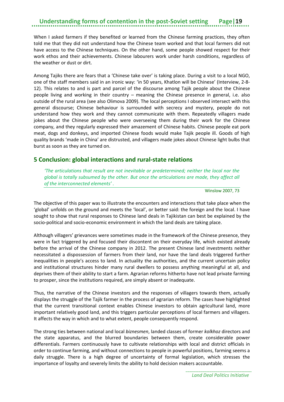When I asked farmers if they benefited or learned from the Chinese farming practices, they often told me that they did not understand how the Chinese team worked and that local farmers did not have access to the Chinese techniques. On the other hand, some people showed respect for their work ethos and their achievements. Chinese labourers work under harsh conditions, regardless of the weather or dust or dirt.

Among Tajiks there are fears that a 'Chinese take over' is taking place. During a visit to a local NGO, one of the staff members said in an ironic way: 'in 50 years, Khatlon will be Chinese' (Interview, 2-8- 12). This relates to and is part and parcel of the discourse among Tajik people about the Chinese people living and working in their country – meaning the Chinese presence in general, i.e. also outside of the rural area (see also Olimova 2009). The local perceptions I observed intersect with this general discourse; Chinese behaviour is surrounded with secrecy and mystery, people do not understand how they work and they cannot communicate with them. Repeatedly villagers made jokes about the Chinese people who were overseeing them during their work for the Chinese company, and they regularly expressed their amazement of Chinese habits. Chinese people eat pork meat, dogs and donkeys, and imported Chinese foods would make Tajik people ill. Goods of high quality brands 'made in China' are distrusted, and villagers made jokes about Chinese light bulbs that burst as soon as they are turned on.

#### <span id="page-22-0"></span>**5 Conclusion: global interactions and rural-state relations**

*'The articulations that result are not inevitable or predetermined; neither the local nor the global is totally subsumed by the other. But once the articulations are made, they affect all of the interconnected elements' .*

Winslow 2007, 73

The objective of this paper was to illustrate the encounters and interactions that take place when the 'global' unfolds on the ground and meets the 'local', or better said: the foreign and the local. I have sought to show that rural responses to Chinese land deals in Tajikistan can best be explained by the socio-political and socio-economic environment in which the land deals are taking place.

Although villagers' grievances were sometimes made in the framework of the Chinese presence, they were in fact triggered by and focused their discontent on their everyday life, which existed already before the arrival of the Chinese company in 2012. The present Chinese land investments neither necessitated a dispossession of farmers from their land, nor have the land deals triggered further inequalities in people's access to land. In actuality the authorities, and the current uncertain policy and institutional structures hinder many rural dwellers to possess anything meaningful at all, and deprives them of their ability to start a farm. Agrarian reforms hitherto have not lead private farming to prosper, since the institutions required, are simply absent or inadequate.

Thus, the narrative of the Chinese investors and the responses of villagers towards them, actually displays the struggle of the Tajik farmer in the process of agrarian reform. The cases have highlighted that the current transitional context enables Chinese investors to obtain agricultural land, more important relatively good land, and this triggers particular perceptions of local farmers and villagers. It affects the way in which and to what extent, people consequently respond.

The strong ties between national and local *biznesmen*, landed classes of former *kolkhoz* directors and the state apparatus, and the blurred boundaries between them, create considerable power differentials. Farmers continuously have to cultivate relationships with local and district officials in order to continue farming, and without connections to people in powerful positions, farming seems a daily struggle. There is a high degree of uncertainty of formal legislation, which stresses the importance of loyalty and severely limits the ability to hold decision makers accountable.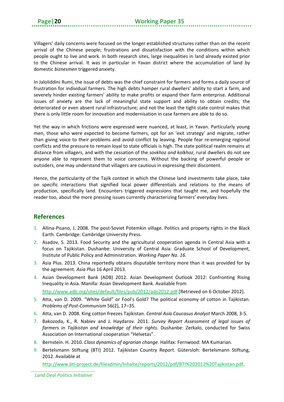Villagers' daily concerns were focused on the longer established structures rather than on the recent arrival of the Chinese people; frustrations and dissatisfaction with the conditions within which people ought to live and work. In both research sites, large inequalities in land already existed prior to the Chinese arrival. It was in particular in Yavan district where the accumulation of land by domestic *biznesmen* triggered anxiety.

In Jaloliddini Rumi, the issue of debts was the chief constraint for farmers and forms a daily source of frustration for individual farmers. The high debts hamper rural dwellers' ability to start a farm, and severely hinder existing farmers' ability to make profits or expand their farm enterprise. Additional issues of anxiety are the lack of meaningful state support and ability to obtain credits; the deteriorated or even absent rural infrastructure; and not the least the tight state control makes that there is only little room for innovation and modernisation in case farmers are able to do so.

Yet the way in which frictions were expressed were nuanced, at least, in Yavan. Particularly young men, those who were expected to become farmers, opt for an 'exit strategy' and migrate, rather than giving voice to their problems and avoid conflict by leaving. People fear re-emerging regional conflicts and the pressure to remain loyal to state officials is high. The state political realm remains at distance from villagers, and with the cessation of the *sovkhoz and kolkhoz*, rural dwellers do not see anyone able to represent them to voice concerns. Without the backing of powerful people or outsiders, one may understand that villagers are cautious in expressing their discontent.

Hence, the particularity of the Tajik context in which the Chinese land investments take place, take on specific interactions that signified local power differentials and relations to the means of production, specifically land. Encounters triggered expressions that taught me, and hopefully the reader too, about the more pressing issues currently characterizing farmers' everyday lives.

#### <span id="page-23-0"></span>**References**

- 1. Allina-Pisano, J. 2008. The post-Soviet Potemkin village. Politics and property rights in the Black Earth. Cambridge: Cambridge University Press.
- 2. Asadov, S. 2013. Food Security and the agricultural cooperation agenda in Central Asia with a focus on Tajikistan. Dushanbe: University of Central Asia: Graduate School of Development, Institute of Public Policy and Administration. *Working Paper No. 16.*
- 3. Asia Plus. 2013. China reportedly obtains disputable territory more than it was provided for by the agreement. *Asia Plus* 16 April 2013.
- 4. Asian Development Bank (ADB) 2012. Asian Development Outlook 2012: Confronting Rising Inequality in Asia. Manilla: Asian Development Bank. Available from

<http://www.adb.org/sites/default/files/pub/2012/ado2012.pdf> [Retrieved on 6 October 2012].

- 5. Atta, van D. 2009. "White Gold" or Fool's Gold? The political economy of cotton in Tajikistan. *Problems of Post-Communism* 56(2), 17–35.
- 6. Atta, van D. 2008. King cotton freezes Tajikistan. *Central Asia Caucasus Analyst* March 2008, 3-5.
- 7. Bakozoda, K., R. Nabiev and J. Haydarov. 2011. *Survey Report Assessment of legal issues of farmers in Tajikistan and knowledge of their rights*. Dushanbe: Zerkalo, conducted for Swiss Association on International cooperation "Helvetas".
- 8. Bernstein. H. 2010. *Class dynamics of agrarian change*. Halifax: Fernwood: MA Kumarian.
- 9. Bertelsmann Stiftung (BTI) 2012. Tajikistan Country Report. Gütersloh: Bertelsmann Stiftung, 2012. Available at

[http://www.bti-p](http://www.bti-/)roject.de/fileadmin/Inhalte/reports/2012/pdf/BTI%202012%20Tajikistan.pdf.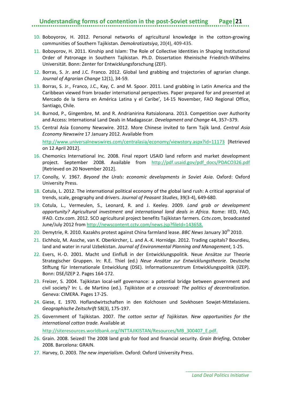- 10. Boboyorov, H. 2012. Personal networks of agricultural knowledge in the cotton-growing communities of Southern Tajikistan. *Demokratizatsiya*, 20(4), 409-435.
- 11. Boboyorov, H. 2011. Kinship and Islam: The Role of Collective Identities in Shaping Institutional Order of Patronage in Southern Tajikistan. Ph.D. Dissertation Rheinische Friedrich-Wilhelms Universität. Bonn: Zenter for Entwicklungsforschung (ZEF).
- 12. Borras, S. Jr. and J.C. Franco. 2012. Global land grabbing and trajectories of agrarian change. *Journal of Agrarian Change* 12(1), 34-59.
- 13. Borras, S. Jr., Franco, J.C., Kay, C. and M. Spoor. 2011. Land grabbing in Latin America and the Caribbean viewed from broader international perspectives. Paper prepared for and presented at Mercado de la tierra en América Latina y el Caribe', 14-15 November, FAO Regional Office, Santiago, Chile.
- 14. Burnod, P., Gingembre, M. and R. Andrianirina Ratsialonana. 2013. Competition over Authority and Access: International Land Deals in Madagascar. *Development and Change* 44, 357–379.
- 15. Central Asia Economy Newswire. 2012. More Chinese invited to farm Tajik land. *Central Asia Economy Newswire* 17 January 2012. Available from

<http://www.universalnewswires.com/centralasia/economy/viewstory.aspx?id=11173> [Retrieved on 12 April 2012].

- 16. Chemonics International Inc. 2008. Final report USAID land reform and market development project. September 2008. Available from http://pdf.usaid.gov/pdf docs/PDACO326.pdf [Retrieved on 20 November 2012].
- 17. Conolly, V. 1967. *Beyond the Urals: economic developments in Soviet Asia*. Oxford: Oxford University Press.
- 18. Cotula, L. 2012. The international political economy of the global land rush: A critical appraisal of trends, scale, geography and drivers. *Journal of Peasant Studies*, 39(3-4), 649-680.
- 19. Cotula, L., Vermeulen, S., Leonard, R. and J. Keeley. 2009. *Land grab or development opportunity? Agricultural investment and international land deals in Africa*. Rome: IIED, FAO, IFAD. Cctv.com. 2012. SCO agricultural project benefits Tajikistan farmers. *Cctv.com*, broadcasted June/July 2012 from [http://newscontent.cctv.com/news.jsp?fileId=143658.](http://newscontent.cctv.com/news.jsp?fileId=143658)
- 20. Demytrie, R. 2010. Kazakhs protest against China farmland lease. *BBC News* January 30th 2010.
- 21. Eichholz, M. Assche, van K. Oberkircher, L. and A.-K. Hornidge. 2012. Trading capitals? Bourdieu, land and water in rural Uzbekistan. *Journal of Environmental Planning and Management*, 1-25.
- 22. Evers, H.-D. 2001. Macht und Einfluß in der Entwicklungspolitik. Neue Ansätze zur Theorie Strategischer Gruppen. In: R.E. Thiel (ed.) *Neue Ansätze zur Entwicklungstheorie*. Deutsche Stiftung für Internationale Entwicklung (DSE). Informationszentrum Entwicklungspolitik (IZEP). Bonn: DSE/IZEP 2. Pages 164-172.
- 23. Freizer, S. 2004. Tajikistan local-self governance: a potential bridge between government and civil society? In: L. de Martino (ed.). *Tajikistan at a crossroad: The politics of decentralization.*  Geneva: CIMERA. Pages 17-25.
- 24. Giese, E. 1970. Hoflandwirtschaften in den Kolchosen und Sovkhosen Sowjet-Mittelasiens. *Geographische Zeitschrift* 58(3), 175-197.
- 25. Government of Tajikistan. 2007. *The cotton sector of Tajikistan. New opportunities for the international cotton trade.* Available at

[http://siteresources.worldbank.org/INTTAJIKISTAN/Resources/MB\\_300407\\_E.pdf.](http://siteresources.worldbank.org/INTTAJIKISTAN/Resources/MB_300407_E.pdf)

- 26. Grain. 2008. Seized! The 2008 land grab for food and financial security. *Grain Briefing*, October 2008. Barcelona: GRAIN.
- 27. Harvey, D. 2003. *The new imperialism*. Oxford: Oxford University Press.

*Land Deal Politics Initiative*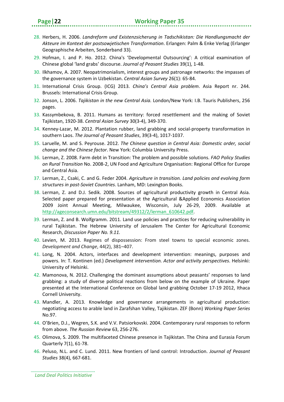- 28. Herbers, H. 2006. *Landreform und Existenzsicherung in Tadschikistan: Die Handlungsmacht der Akteure im Kontext der postsowjetischen Transformation*. Erlangen: Palm & Enke Verlag (Erlanger Geographische Arbeiten, Sonderband 33).
- 29. Hofman, I. and P. Ho. 2012. China's 'Developmental Outsourcing': A critical examination of Chinese global 'land grabs' discourse. *Journal of Peasant Studies* 39(1), 1-48.
- 30. Ilkhamov, A. 2007. Neopatrimonialism, interest groups and patronage networks: the impasses of the governance system in Uzbekistan. *Central Asian Survey* 26(1): 65-84.
- 31. International Crisis Group. (ICG) 2013. *China's Central Asia problem*. Asia Report nr. 244. Brussels: International Crisis Group.
- 32. Jonson, L. 2006. *Tajikistan in the new Central Asia.* London/New York: I.B. Tauris Publishers, 256 pages.
- 33. Kassymbekova, B. 2011. Humans as territory: forced resettlement and the making of Soviet Tajikistan, 1920-38. *Central Asian Survey* 30(3-4), 349-370.
- 34. Kenney-Lazar, M. 2012. Plantation rubber, land grabbing and social-property transformation in southern Laos. *The Journal of Peasant Studies*, 39(3-4), 1017-1037.
- 35. Laruelle, M. and S. Peyrouse. 2012. *The Chinese question in Central Asia: Domestic order, social change and the Chinese factor*. New York: Columbia University Press.
- 36. Lerman, Z. 2008. Farm debt in Transition: The problem and possible solutions. *FAO Policy Studies on Rural Transition* No. 2008-2, UN Food and Agriculture Organisation: Regional Office for Europe and Central Asia.
- 37. Lerman, Z., Csaki, C. and G. Feder 2004. *Agriculture in transition. Land policies and evolving farm structures in post-Soviet Countries*. Lanham, MD: Lexington Books.
- 38. Lerman, Z. and D.J. Sedik. 2008. Sources of agricultural productivity growth in Central Asia. Selected paper prepared for presentation at the Agricultural &Applied Economics Association 2009 Joint Annual Meeting, Milwaukee, Wisconsin, July 26-29, 2009. Available at [http://ageconsearch.umn.edu/bitstream/49312/2/lerman\\_610642.pdf.](http://ageconsearch.umn.edu/bitstream/49312/2/lerman_610642.pdf)
- 39. Lerman, Z. and B. Wolfgramm. 2011. Land use policies and practices for reducing vulnerability in rural Tajikistan. The Hebrew University of Jerusalem The Center for Agricultural Economic Research, *Discussion Paper No. 9.11.*
- 40. Levien, M. 2013. Regimes of dispossession: From steel towns to special economic zones. *Development and Change*, 44(2), 381–407.
- 41. Long, N. 2004. Actors, interfaces and development intervention: meanings, purposes and powers. In: T. Kontinen (ed.) *Development intervention. Actor and activity perspectives*. Helsinki: University of Helsinki.
- 42. Mamonova, N. 2012. Challenging the dominant assumptions about peasants' responses to land grabbing: a study of diverse political reactions from below on the example of Ukraine. Paper presented at the International Conference on Global land grabbing October 17-19 2012, Ithaca Cornell University.
- 43. Mandler, A. 2013. Knowledge and governance arrangements in agricultural production: negotiating access to arable land in Zarafshan Valley, Tajikistan. ZEF (Bonn) *Working Paper Series* No.97.
- 44. O'Brien, D.J., Wegren, S.K. and V.V. Patsiorkovski. 2004. Contemporary rural responses to reform from above. *The Russian Review* 63, 256-276.
- 45. Olimova, S. 2009. The multifaceted Chinese presence in Tajikistan. The China and Eurasia Forum Quarterly 7(1), 61-78.
- 46. Peluso, N.L. and C. Lund. 2011. New frontiers of land control: Introduction. *Journal of Peasant Studies* 38(4), 667-681.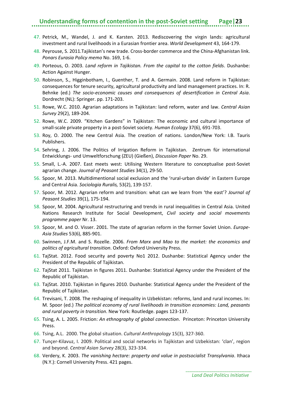- 47. Petrick, M., Wandel, J. and K. Karsten. 2013. Rediscovering the virgin lands: agricultural investment and rural livelihoods in a Eurasian frontier area. *World Development* 43, 164-179.
- 48. Peyrouse, S. 2011.Tajikistan's new trade. Cross-border commerce and the China-Afghanistan link. *Ponars Eurasia Policy memo* No. 169, 1-6.
- 49. Porteous, O. 2003. *Land reform in Tajikistan. From the capital to the cotton fields*. Dushanbe: Action Against Hunger.
- 50. Robinson, S., Higginbotham, I., Guenther, T. and A. Germain. 2008. Land reform in Tajikistan: consequences for tenure security, agricultural productivity and land management practices. In: R. Behnke (ed.) *The socio-economic causes and consequences of desertification in Central Asia*. Dordrecht (NL): Springer. pp. 171-203.
- 51. Rowe, W.C. 2010. Agrarian adaptations in Tajikistan: land reform, water and law. *Central Asian Survey* 29(2), 189-204.
- 52. Rowe, W.C. 2009. "Kitchen Gardens" in Tajikistan: The economic and cultural importance of small-scale private property in a post-Soviet society. *Human Ecology* 37(6), 691-703.
- 53. Roy, O. 2000. The new Central Asia. The creation of nations. London/New York: I.B. Tauris Publishers.
- 54. Sehring, J. 2006. The Politics of Irrigation Reform in Tajikistan. Zentrum für international Entwicklungs- und Umweltforschung (ZEU) (Gießen), *Discussion Paper* No. 29.
- 55. Small, L.-A. 2007. East meets west: Utilising Western literature to conceptualise post-Soviet agrarian change. *Journal of Peasant Studies* 34(1), 29-50.
- 56. Spoor, M. 2013. Multidimentional social exclusion and the 'rural-urban divide' in Eastern Europe and Central Asia. *Sociologia Ruralis,* 53(2), 139-157.
- 57. Spoor, M. 2012. Agrarian reform and transition: what can we learn from 'the east'? *Journal of Peasant Studies* 39(1), 175-194.
- 58. Spoor, M. 2004. Agricultural restructuring and trends in rural inequalities in Central Asia. United Nations Research Institute for Social Development, *Civil society and social movements programme paper* Nr. 13.
- 59. Spoor, M. and O. Visser. 2001. The state of agrarian reform in the former Soviet Union. *Europe-Asia Studies* 53(6), 885-901.
- 60. Swinnen, J.F.M. and S. Rozelle. 2006. *From Marx and Mao to the market: the economics and politics of agricultural transition*. Oxford: Oxford University Press.
- 61. TajStat. 2012. Food security and poverty No1 2012. Dushanbe: Statistical Agency under the President of the Republic of Tajikistan.
- 62. TajStat 2011. Tajikistan in figures 2011. Dushanbe: Statistical Agency under the President of the Republic of Tajikistan.
- 63. TajStat. 2010. Tajikistan in figures 2010. Dushanbe: Statistical Agency under the President of the Republic of Tajikistan.
- 64. Trevisani, T. 2008. The reshaping of inequality in Uzbekistan: reforms, land and rural incomes. In: M. Spoor (ed.) *The political economy of rural livelihoods in transition economies: Land, peasants and rural poverty in transition*. New York: Routledge. pages 123-137.
- 65. Tsing, A. L. 2005. Friction: *An ethnography of global connection*. Princeton: Princeton University Press.
- 66. Tsing, A.L. 2000. The global situation. *Cultural Anthropology* 15(3), 327-360.
- 67. Tunçer-Kilavuz, I. 2009. Political and social networks in Tajikistan and Uzbekistan: 'clan', region and beyond. *Central Asian Survey* 28(3), 323-334.
- 68. Verdery, K. 2003. *The vanishing hectare: property and value in postsocialist Transylvania*. Ithaca (N.Y.): Cornell University Press. 421 pages.

*Land Deal Politics Initiative*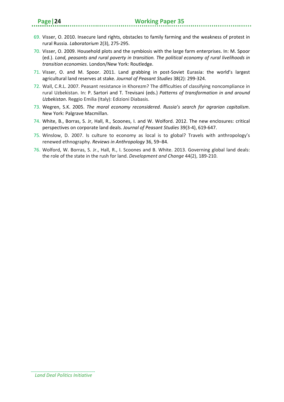- 69. Visser, O. 2010. Insecure land rights, obstacles to family farming and the weakness of protest in rural Russia. *Laboratorium* 2(3), 275-295.
- 70. Visser, O. 2009. Household plots and the symbiosis with the large farm enterprises. In: M. Spoor (ed.). *Land, peasants and rural poverty in transition. The political economy of rural livelihoods in transition economies*. London/New York: Routledge.
- 71. Visser, O. and M. Spoor. 2011. Land grabbing in post-Soviet Eurasia: the world's largest agricultural land reserves at stake*. Journal of Peasant Studies* 38(2): 299-324.
- 72. Wall, C.R.L. 2007. Peasant resistance in Khorezm? The difficulties of classifying noncompliance in rural Uzbekistan. In: P. Sartori and T. Trevisani (eds.) *Patterns of transformation in and around Uzbekistan*. Reggio Emilia (Italy): Edizioni Diabasis.
- 73. Wegren, S.K. 2005. *The moral economy reconsidered. Russia's search for agrarian capitalism*. New York: Palgrave Macmillan.
- 74. White, B., Borras, S. Jr, Hall, R., Scoones, I. and W. Wolford. 2012. The new enclosures: critical perspectives on corporate land deals. *Journal of Peasant Studies* 39(3-4), 619-647.
- 75. Winslow, D. 2007. Is culture to economy as local is to global? Travels with anthropology's renewed ethnography. *Reviews in Anthropology* 36, 59–84.
- 76. Wolford, W. Borras, S. Jr., Hall, R., I. Scoones and B. White. 2013. Governing global land deals: the role of the state in the rush for land. *Development and Change* 44(2), 189-210.

*Land Deal Politics Initiative*